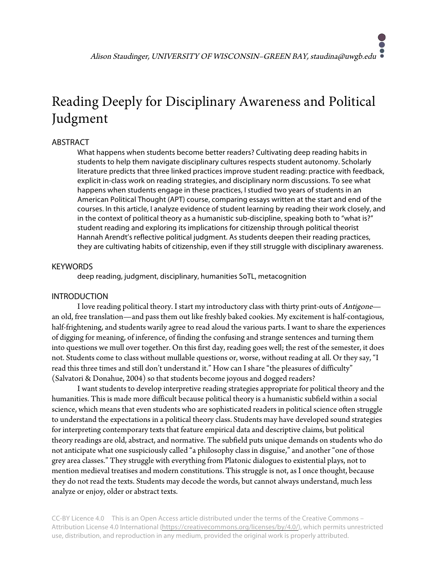# Reading Deeply for Disciplinary Awareness and Political Judgment

# ABSTRACT

What happens when students become better readers? Cultivating deep reading habits in students to help them navigate disciplinary cultures respects student autonomy. Scholarly literature predicts that three linked practices improve student reading: practice with feedback, explicit in-class work on reading strategies, and disciplinary norm discussions. To see what happens when students engage in these practices, I studied two years of students in an American Political Thought (APT) course, comparing essays written at the start and end of the courses. In this article, I analyze evidence of student learning by reading their work closely, and in the context of political theory as a humanistic sub-discipline, speaking both to "what is?" student reading and exploring its implications for citizenship through political theorist Hannah Arendt's reflective political judgment. As students deepen their reading practices, they are cultivating habits of citizenship, even if they still struggle with disciplinary awareness.

# **KEYWORDS**

deep reading, judgment, disciplinary, humanities SoTL, metacognition

# INTRODUCTION

I love reading political theory. I start my introductory class with thirty print-outs of Antigone an old, free translation—and pass them out like freshly baked cookies. My excitement is half-contagious, half-frightening, and students warily agree to read aloud the various parts. I want to share the experiences of digging for meaning, of inference, of finding the confusing and strange sentences and turning them into questions we mull over together. On this first day, reading goes well; the rest of the semester, it does not. Students come to class without mullable questions or, worse, without reading at all. Or they say, "I read this three times and still don't understand it." How can I share "the pleasures of difficulty" (Salvatori & Donahue, 2004) so that students become joyous and dogged readers?

I want students to develop interpretive reading strategies appropriate for political theory and the humanities. This is made more difficult because political theory is a humanistic subfield within a social science, which means that even students who are sophisticated readers in political science often struggle to understand the expectations in a political theory class. Students may have developed sound strategies for interpreting contemporary texts that feature empirical data and descriptive claims, but political theory readings are old, abstract, and normative. The subfield puts unique demands on students who do not anticipate what one suspiciously called "a philosophy class in disguise," and another "one of those grey area classes." They struggle with everything from Platonic dialogues to existential plays, not to mention medieval treatises and modern constitutions. This struggle is not, as I once thought, because they do not read the texts. Students may decode the words, but cannot always understand, much less analyze or enjoy, older or abstract texts.

CC-BY Licence 4.0 This is an Open Access article distributed under the terms of the Creative Commons – Attribution License 4.0 International (https://creativecommons.org/licenses/by/4.0/), which permits unrestricted use, distribution, and reproduction in any medium, provided the original work is properly attributed.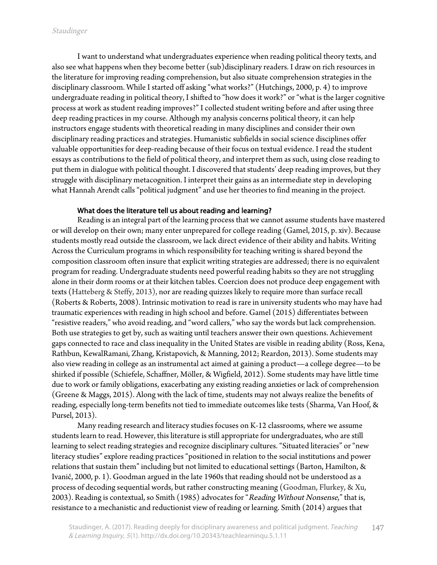I want to understand what undergraduates experience when reading political theory texts, and also see what happens when they become better (sub)disciplinary readers. I draw on rich resources in the literature for improving reading comprehension, but also situate comprehension strategies in the disciplinary classroom. While I started off asking "what works?" (Hutchings, 2000, p. 4) to improve undergraduate reading in political theory, I shifted to "how does it work?" or "what is the larger cognitive process at work as student reading improves?" I collected student writing before and after using three deep reading practices in my course. Although my analysis concerns political theory, it can help instructors engage students with theoretical reading in many disciplines and consider their own disciplinary reading practices and strategies. Humanistic subfields in social science disciplines offer valuable opportunities for deep-reading because of their focus on textual evidence. I read the student essays as contributions to the field of political theory, and interpret them as such, using close reading to put them in dialogue with political thought. I discovered that students' deep reading improves, but they struggle with disciplinary metacognition. I interpret their gains as an intermediate step in developing what Hannah Arendt calls "political judgment" and use her theories to find meaning in the project.

#### What does the literature tell us about reading and learning?

Reading is an integral part of the learning process that we cannot assume students have mastered or will develop on their own; many enter unprepared for college reading (Gamel, 2015, p. xiv). Because students mostly read outside the classroom, we lack direct evidence of their ability and habits. Writing Across the Curriculum programs in which responsibility for teaching writing is shared beyond the composition classroom often insure that explicit writing strategies are addressed; there is no equivalent program for reading. Undergraduate students need powerful reading habits so they are not struggling alone in their dorm rooms or at their kitchen tables. Coercion does not produce deep engagement with texts (Hatteberg & Steffy, 2013), nor are reading quizzes likely to require more than surface recall (Roberts & Roberts, 2008). Intrinsic motivation to read is rare in university students who may have had traumatic experiences with reading in high school and before. Gamel (2015) differentiates between "resistive readers," who avoid reading, and "word callers," who say the words but lack comprehension. Both use strategies to get by, such as waiting until teachers answer their own questions. Achievement gaps connected to race and class inequality in the United States are visible in reading ability (Ross, Kena, Rathbun, KewalRamani, Zhang, Kristapovich, & Manning, 2012; Reardon, 2013). Some students may also view reading in college as an instrumental act aimed at gaining a product—a college degree—to be shirked if possible (Schiefele, Schaffner, Möller, & Wigfield, 2012). Some students may have little time due to work or family obligations, exacerbating any existing reading anxieties or lack of comprehension (Greene & Maggs, 2015). Along with the lack of time, students may not always realize the benefits of reading, especially long-term benefits not tied to immediate outcomes like tests (Sharma, Van Hoof, & Pursel, 2013).

Many reading research and literacy studies focuses on K-12 classrooms, where we assume students learn to read. However, this literature is still appropriate for undergraduates, who are still learning to select reading strategies and recognize disciplinary cultures. "Situated literacies" or "new literacy studies" explore reading practices "positioned in relation to the social institutions and power relations that sustain them" including but not limited to educational settings (Barton, Hamilton, & Ivanič, 2000, p. 1). Goodman argued in the late 1960s that reading should not be understood as a process of decoding sequential words, but rather constructing meaning (Goodman, Flurkey, & Xu, 2003). Reading is contextual, so Smith (1985) advocates for "Reading Without Nonsense," that is, resistance to a mechanistic and reductionist view of reading or learning. Smith (2014) argues that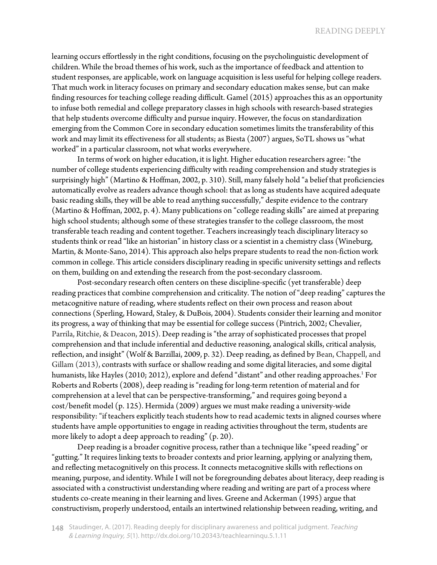learning occurs effortlessly in the right conditions, focusing on the psycholinguistic development of children. While the broad themes of his work, such as the importance of feedback and attention to student responses, are applicable, work on language acquisition is less useful for helping college readers. That much work in literacy focuses on primary and secondary education makes sense, but can make finding resources for teaching college reading difficult. Gamel (2015) approaches this as an opportunity to infuse both remedial and college preparatory classes in high schools with research-based strategies that help students overcome difficulty and pursue inquiry. However, the focus on standardization emerging from the Common Core in secondary education sometimes limits the transferability of this work and may limit its effectiveness for all students; as Biesta (2007) argues, SoTL shows us "what worked" in a particular classroom, not what works everywhere.

In terms of work on higher education, it is light. Higher education researchers agree: "the number of college students experiencing difficulty with reading comprehension and study strategies is surprisingly high" (Martino & Hoffman, 2002, p. 310). Still, many falsely hold "a belief that proficiencies automatically evolve as readers advance though school: that as long as students have acquired adequate basic reading skills, they will be able to read anything successfully," despite evidence to the contrary (Martino & Hoffman, 2002, p. 4). Many publications on "college reading skills" are aimed at preparing high school students; although some of these strategies transfer to the college classroom, the most transferable teach reading and content together. Teachers increasingly teach disciplinary literacy so students think or read "like an historian" in history class or a scientist in a chemistry class (Wineburg, Martin, & Monte-Sano, 2014). This approach also helps prepare students to read the non-fiction work common in college. This article considers disciplinary reading in specific university settings and reflects on them, building on and extending the research from the post-secondary classroom.

Post-secondary research often centers on these discipline-specific (yet transferable) deep reading practices that combine comprehension and criticality. The notion of "deep reading" captures the metacognitive nature of reading, where students reflect on their own process and reason about connections (Sperling, Howard, Staley, & DuBois, 2004). Students consider their learning and monitor its progress, a way of thinking that may be essential for college success (Pintrich, 2002; Chevalier, Parrila, Ritchie, & Deacon, 2015). Deep reading is "the array of sophisticated processes that propel comprehension and that include inferential and deductive reasoning, analogical skills, critical analysis, reflection, and insight" (Wolf & Barzillai, 2009, p. 32). Deep reading, as defined by Bean, Chappell, and Gillam (2013), contrasts with surface or shallow reading and some digital literacies, and some digital humanists, like Hayles (2010; 2012), explore and defend "distant" and other reading approaches.<sup>1</sup> For Roberts and Roberts (2008), deep reading is "reading for long-term retention of material and for comprehension at a level that can be perspective-transforming," and requires going beyond a cost/benefit model (p. 125). Hermida (2009) argues we must make reading a university-wide responsibility: "if teachers explicitly teach students how to read academic texts in aligned courses where students have ample opportunities to engage in reading activities throughout the term, students are more likely to adopt a deep approach to reading" (p. 20).

Deep reading is a broader cognitive process, rather than a technique like "speed reading" or "gutting." It requires linking texts to broader contexts and prior learning, applying or analyzing them, and reflecting metacognitively on this process. It connects metacognitive skills with reflections on meaning, purpose, and identity. While I will not be foregrounding debates about literacy, deep reading is associated with a constructivist understanding where reading and writing are part of a process where students co-create meaning in their learning and lives. Greene and Ackerman (1995) argue that constructivism, properly understood, entails an intertwined relationship between reading, writing, and

148 Staudinger, A. (2017). Reading deeply for disciplinary awareness and political judgment. Teaching & Learning Inquiry, <sup>5</sup>(1). http://dx.doi.org/10.20343/teachlearninqu.5.1.11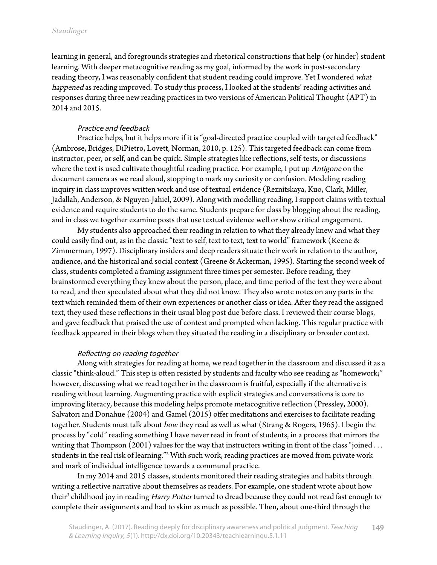learning in general, and foregrounds strategies and rhetorical constructions that help (or hinder) student learning. With deeper metacognitive reading as my goal, informed by the work in post-secondary reading theory, I was reasonably confident that student reading could improve. Yet I wondered what happened as reading improved. To study this process, I looked at the students' reading activities and responses during three new reading practices in two versions of American Political Thought (APT) in 2014 and 2015.

## Practice and feedback

Practice helps, but it helps more if it is "goal-directed practice coupled with targeted feedback" (Ambrose, Bridges, DiPietro, Lovett, Norman, 2010, p. 125). This targeted feedback can come from instructor, peer, or self, and can be quick. Simple strategies like reflections, self-tests, or discussions where the text is used cultivate thoughtful reading practice. For example, I put up Antigone on the document camera as we read aloud, stopping to mark my curiosity or confusion. Modeling reading inquiry in class improves written work and use of textual evidence (Reznitskaya, Kuo, Clark, Miller, Jadallah, Anderson, & Nguyen-Jahiel, 2009). Along with modelling reading, I support claims with textual evidence and require students to do the same. Students prepare for class by blogging about the reading, and in class we together examine posts that use textual evidence well or show critical engagement.

My students also approached their reading in relation to what they already knew and what they could easily find out, as in the classic "text to self, text to text, text to world" framework (Keene & Zimmerman, 1997). Disciplinary insiders and deep readers situate their work in relation to the author, audience, and the historical and social context (Greene & Ackerman, 1995). Starting the second week of class, students completed a framing assignment three times per semester. Before reading, they brainstormed everything they knew about the person, place, and time period of the text they were about to read, and then speculated about what they did not know. They also wrote notes on any parts in the text which reminded them of their own experiences or another class or idea. After they read the assigned text, they used these reflections in their usual blog post due before class. I reviewed their course blogs, and gave feedback that praised the use of context and prompted when lacking. This regular practice with feedback appeared in their blogs when they situated the reading in a disciplinary or broader context.

#### Reflecting on reading together

Along with strategies for reading at home, we read together in the classroom and discussed it as a classic "think-aloud." This step is often resisted by students and faculty who see reading as "homework;" however, discussing what we read together in the classroom is fruitful, especially if the alternative is reading without learning. Augmenting practice with explicit strategies and conversations is core to improving literacy, because this modeling helps promote metacognitive reflection (Pressley, 2000). Salvatori and Donahue (2004) and Gamel (2015) offer meditations and exercises to facilitate reading together. Students must talk about how they read as well as what (Strang & Rogers, 1965). I begin the process by "cold" reading something I have never read in front of students, in a process that mirrors the writing that Thompson (2001) values for the way that instructors writing in front of the class "joined ... students in the real risk of learning."2 With such work, reading practices are moved from private work and mark of individual intelligence towards a communal practice.

In my 2014 and 2015 classes, students monitored their reading strategies and habits through writing a reflective narrative about themselves as readers. For example, one student wrote about how their<sup>3</sup> childhood joy in reading *Harry Potter* turned to dread because they could not read fast enough to complete their assignments and had to skim as much as possible. Then, about one-third through the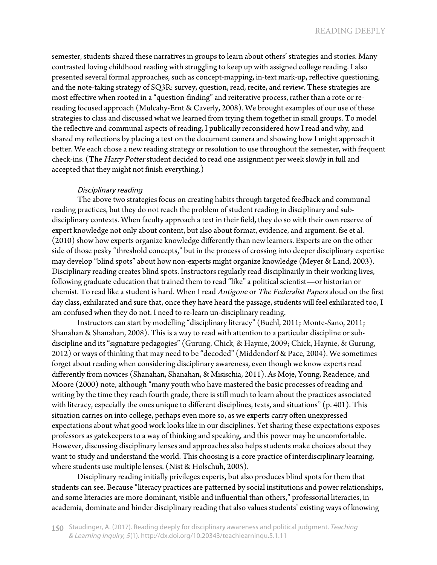semester, students shared these narratives in groups to learn about others' strategies and stories. Many contrasted loving childhood reading with struggling to keep up with assigned college reading. I also presented several formal approaches, such as concept-mapping, in-text mark-up, reflective questioning, and the note-taking strategy of SQ3R: survey, question, read, recite, and review. These strategies are most effective when rooted in a "question-finding" and reiterative process, rather than a rote or rereading focused approach (Mulcahy-Ernt & Caverly, 2008). We brought examples of our use of these strategies to class and discussed what we learned from trying them together in small groups. To model the reflective and communal aspects of reading, I publically reconsidered how I read and why, and shared my reflections by placing a text on the document camera and showing how I might approach it better. We each chose a new reading strategy or resolution to use throughout the semester, with frequent check-ins. (The Harry Potter student decided to read one assignment per week slowly in full and accepted that they might not finish everything.)

#### Disciplinary reading

The above two strategies focus on creating habits through targeted feedback and communal reading practices, but they do not reach the problem of student reading in disciplinary and subdisciplinary contexts. When faculty approach a text in their field, they do so with their own reserve of expert knowledge not only about content, but also about format, evidence, and argument. fse et al. (2010) show how experts organize knowledge differently than new learners. Experts are on the other side of those pesky "threshold concepts," but in the process of crossing into deeper disciplinary expertise may develop "blind spots" about how non-experts might organize knowledge (Meyer & Land, 2003). Disciplinary reading creates blind spots. Instructors regularly read disciplinarily in their working lives, following graduate education that trained them to read "like" a political scientist—or historian or chemist. To read like a student is hard. When I read Antigone or The Federalist Papers aloud on the first day class, exhilarated and sure that, once they have heard the passage, students will feel exhilarated too, I am confused when they do not. I need to re-learn un-disciplinary reading.

Instructors can start by modelling "disciplinary literacy" (Buehl, 2011; Monte-Sano, 2011; Shanahan & Shanahan, 2008). This is a way to read with attention to a particular discipline or subdiscipline and its "signature pedagogies" (Gurung, Chick, & Haynie, 2009; Chick, Haynie, & Gurung, 2012) or ways of thinking that may need to be "decoded" (Middendorf & Pace, 2004). We sometimes forget about reading when considering disciplinary awareness, even though we know experts read differently from novices (Shanahan, Shanahan, & Misischia, 2011). As Moje, Young, Readence, and Moore (2000) note, although "many youth who have mastered the basic processes of reading and writing by the time they reach fourth grade, there is still much to learn about the practices associated with literacy, especially the ones unique to different disciplines, texts, and situations" (p. 401). This situation carries on into college, perhaps even more so, as we experts carry often unexpressed expectations about what good work looks like in our disciplines. Yet sharing these expectations exposes professors as gatekeepers to a way of thinking and speaking, and this power may be uncomfortable. However, discussing disciplinary lenses and approaches also helps students make choices about they want to study and understand the world. This choosing is a core practice of interdisciplinary learning, where students use multiple lenses. (Nist & Holschuh, 2005).

Disciplinary reading initially privileges experts, but also produces blind spots for them that students can see. Because "literacy practices are patterned by social institutions and power relationships, and some literacies are more dominant, visible and influential than others," professorial literacies, in academia, dominate and hinder disciplinary reading that also values students' existing ways of knowing

150 Staudinger, A. (2017). Reading deeply for disciplinary awareness and political judgment. Teaching & Learning Inquiry, <sup>5</sup>(1). http://dx.doi.org/10.20343/teachlearninqu.5.1.11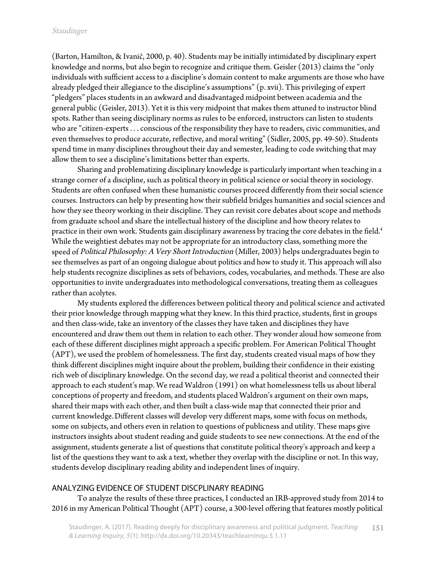(Barton, Hamilton, & Ivanič, 2000, p. 40). Students may be initially intimidated by disciplinary expert knowledge and norms, but also begin to recognize and critique them. Geisler (2013) claims the "only individuals with sufficient access to a discipline's domain content to make arguments are those who have already pledged their allegiance to the discipline's assumptions" (p. xvii). This privileging of expert "pledgers" places students in an awkward and disadvantaged midpoint between academia and the general public (Geisler, 2013). Yet it is this very midpoint that makes them attuned to instructor blind spots. Rather than seeing disciplinary norms as rules to be enforced, instructors can listen to students who are "citizen-experts . . . conscious of the responsibility they have to readers, civic communities, and even themselves to produce accurate, reflective, and moral writing" (Sidler, 2005, pp. 49-50). Students spend time in many disciplines throughout their day and semester, leading to code switching that may allow them to see a discipline's limitations better than experts.

Sharing and problematizing disciplinary knowledge is particularly important when teaching in a strange corner of a discipline, such as political theory in political science or social theory in sociology. Students are often confused when these humanistic courses proceed differently from their social science courses. Instructors can help by presenting how their subfield bridges humanities and social sciences and how they see theory working in their discipline. They can revisit core debates about scope and methods from graduate school and share the intellectual history of the discipline and how theory relates to practice in their own work. Students gain disciplinary awareness by tracing the core debates in the field.<sup>4</sup> While the weightiest debates may not be appropriate for an introductory class, something more the speed of Political Philosophy: A Very Short Introduction (Miller, 2003) helps undergraduates begin to see themselves as part of an ongoing dialogue about politics and how to study it. This approach will also help students recognize disciplines as sets of behaviors, codes, vocabularies, and methods. These are also opportunities to invite undergraduates into methodological conversations, treating them as colleagues rather than acolytes.

My students explored the differences between political theory and political science and activated their prior knowledge through mapping what they knew. In this third practice, students, first in groups and then class-wide, take an inventory of the classes they have taken and disciplines they have encountered and draw them out them in relation to each other. They wonder aloud how someone from each of these different disciplines might approach a specific problem. For American Political Thought (APT), we used the problem of homelessness. The first day, students created visual maps of how they think different disciplines might inquire about the problem, building their confidence in their existing rich web of disciplinary knowledge. On the second day, we read a political theorist and connected their approach to each student's map. We read Waldron (1991) on what homelessness tells us about liberal conceptions of property and freedom, and students placed Waldron's argument on their own maps, shared their maps with each other, and then built a class-wide map that connected their prior and current knowledge.Different classes will develop very different maps, some with focus on methods, some on subjects, and others even in relation to questions of publicness and utility. These maps give instructors insights about student reading and guide students to see new connections. At the end of the assignment, students generate a list of questions that constitute political theory's approach and keep a list of the questions they want to ask a text, whether they overlap with the discipline or not. In this way, students develop disciplinary reading ability and independent lines of inquiry.

#### ANALYZING EVIDENCE OF STUDENT DISCPLINARY READING

To analyze the results of these three practices, I conducted an IRB-approved study from 2014 to 2016 in my American Political Thought (APT) course, a 300-level offering that features mostly political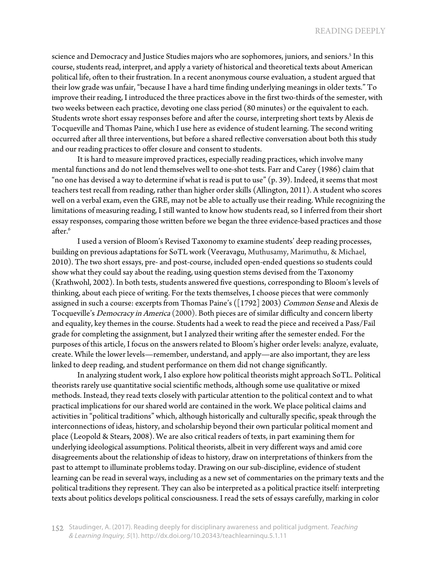science and Democracy and Justice Studies majors who are sophomores, juniors, and seniors.<sup>5</sup> In this course, students read, interpret, and apply a variety of historical and theoretical texts about American political life, often to their frustration. In a recent anonymous course evaluation, a student argued that their low grade was unfair, "because I have a hard time finding underlying meanings in older texts." To improve their reading, I introduced the three practices above in the first two-thirds of the semester, with two weeks between each practice, devoting one class period (80 minutes) or the equivalent to each. Students wrote short essay responses before and after the course, interpreting short texts by Alexis de Tocqueville and Thomas Paine, which I use here as evidence of student learning. The second writing occurred after all three interventions, but before a shared reflective conversation about both this study and our reading practices to offer closure and consent to students.

It is hard to measure improved practices, especially reading practices, which involve many mental functions and do not lend themselves well to one-shot tests. Farr and Carey (1986) claim that "no one has devised a way to determine if what is read is put to use" (p. 39). Indeed, it seems that most teachers test recall from reading, rather than higher order skills (Allington, 2011). A student who scores well on a verbal exam, even the GRE, may not be able to actually use their reading. While recognizing the limitations of measuring reading, I still wanted to know how students read, so I inferred from their short essay responses, comparing those written before we began the three evidence-based practices and those after.<sup>6</sup>

I used a version of Bloom's Revised Taxonomy to examine students' deep reading processes, building on previous adaptations for SoTL work (Veeravagu, Muthusamy, Marimuthu, & Michael, 2010). The two short essays, pre- and post-course, included open-ended questions so students could show what they could say about the reading, using question stems devised from the Taxonomy (Krathwohl, 2002). In both tests, students answered five questions, corresponding to Bloom's levels of thinking, about each piece of writing. For the texts themselves, I choose pieces that were commonly assigned in such a course: excerpts from Thomas Paine's ([1792] 2003) Common Sense and Alexis de Tocqueville's Democracy in America (2000). Both pieces are of similar difficulty and concern liberty and equality, key themes in the course. Students had a week to read the piece and received a Pass/Fail grade for completing the assignment, but I analyzed their writing after the semester ended. For the purposes of this article, I focus on the answers related to Bloom's higher order levels: analyze, evaluate, create. While the lower levels—remember, understand, and apply—are also important, they are less linked to deep reading, and student performance on them did not change significantly.

In analyzing student work, I also explore how political theorists might approach SoTL. Political theorists rarely use quantitative social scientific methods, although some use qualitative or mixed methods. Instead, they read texts closely with particular attention to the political context and to what practical implications for our shared world are contained in the work. We place political claims and activities in "political traditions" which, although historically and culturally specific, speak through the interconnections of ideas, history, and scholarship beyond their own particular political moment and place (Leopold & Stears, 2008). We are also critical readers of texts, in part examining them for underlying ideological assumptions. Political theorists, albeit in very different ways and amid core disagreements about the relationship of ideas to history, draw on interpretations of thinkers from the past to attempt to illuminate problems today. Drawing on our sub-discipline, evidence of student learning can be read in several ways, including as a new set of commentaries on the primary texts and the political traditions they represent. They can also be interpreted as a political practice itself: interpreting texts about politics develops political consciousness. I read the sets of essays carefully, marking in color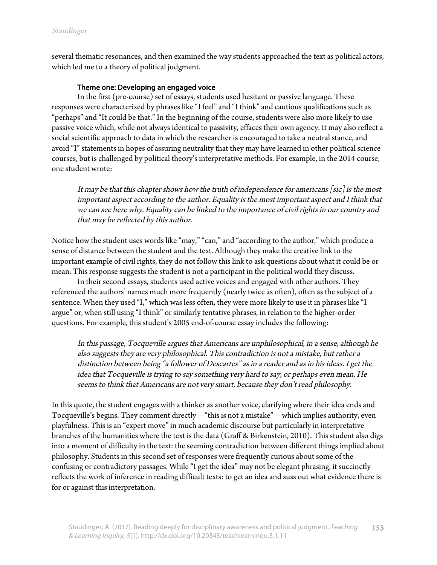several thematic resonances, and then examined the way students approached the text as political actors, which led me to a theory of political judgment.

## Theme one: Developing an engaged voice

In the first (pre-course) set of essays, students used hesitant or passive language. These responses were characterized by phrases like "I feel" and "I think" and cautious qualifications such as "perhaps" and "It could be that." In the beginning of the course, students were also more likely to use passive voice which, while not always identical to passivity, effaces their own agency. It may also reflect a social scientific approach to data in which the researcher is encouraged to take a neutral stance, and avoid "I" statements in hopes of assuring neutrality that they may have learned in other political science courses, but is challenged by political theory's interpretative methods. For example, in the 2014 course, one student wrote:

It may be that this chapter shows how the truth of independence for americans  $[sic]$  is the most important aspect according to the author. Equality is the most important aspect and I think that we can see here why. Equality can be linked to the importance of civil rights in our country and that may be reflected by this author.

Notice how the student uses words like "may," "can," and "according to the author," which produce a sense of distance between the student and the text. Although they make the creative link to the important example of civil rights, they do not follow this link to ask questions about what it could be or mean. This response suggests the student is not a participant in the political world they discuss.

In their second essays, students used active voices and engaged with other authors. They referenced the authors' names much more frequently (nearly twice as often), often as the subject of a sentence. When they used "I," which was less often, they were more likely to use it in phrases like "I argue" or, when still using "I think" or similarly tentative phrases, in relation to the higher-order questions. For example, this student's 2005 end-of-course essay includes the following:

In this passage, Tocqueville argues that Americans are unphilosophical, in a sense, although he also suggests they are very philosophical. This contradiction is not a mistake, but rather a distinction between being "a follower of Descartes" as in a reader and as in his ideas. I get the idea that Tocqueville is trying to say something very hard to say, or perhaps even mean. He seems to think that Americans are not very smart, because they don't read philosophy.

In this quote, the student engages with a thinker as another voice, clarifying where their idea ends and Tocqueville's begins. They comment directly—"this is not a mistake"—which implies authority, even playfulness. This is an "expert move" in much academic discourse but particularly in interpretative branches of the humanities where the text is the data (Graff & Birkenstein, 2010). This student also digs into a moment of difficulty in the text: the seeming contradiction between different things implied about philosophy. Students in this second set of responses were frequently curious about some of the confusing or contradictory passages. While "I get the idea" may not be elegant phrasing, it succinctly reflects the work of inference in reading difficult texts: to get an idea and suss out what evidence there is for or against this interpretation.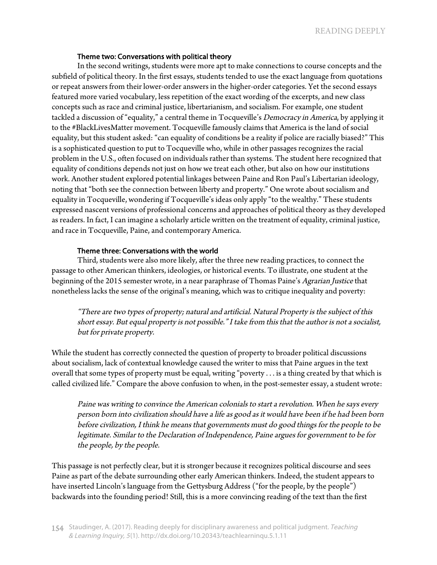#### Theme two: Conversations with political theory

In the second writings, students were more apt to make connections to course concepts and the subfield of political theory. In the first essays, students tended to use the exact language from quotations or repeat answers from their lower-order answers in the higher-order categories. Yet the second essays featured more varied vocabulary, less repetition of the exact wording of the excerpts, and new class concepts such as race and criminal justice, libertarianism, and socialism. For example, one student tackled a discussion of "equality," a central theme in Tocqueville's Democracy in America, by applying it to the #BlackLivesMatter movement. Tocqueville famously claims that America is the land of social equality, but this student asked: "can equality of conditions be a reality if police are racially biased?" This is a sophisticated question to put to Tocqueville who, while in other passages recognizes the racial problem in the U.S., often focused on individuals rather than systems. The student here recognized that equality of conditions depends not just on how we treat each other, but also on how our institutions work. Another student explored potential linkages between Paine and Ron Paul's Libertarian ideology, noting that "both see the connection between liberty and property." One wrote about socialism and equality in Tocqueville, wondering if Tocqueville's ideas only apply "to the wealthy." These students expressed nascent versions of professional concerns and approaches of political theory as they developed as readers. In fact, I can imagine a scholarly article written on the treatment of equality, criminal justice, and race in Tocqueville, Paine, and contemporary America.

#### Theme three: Conversations with the world

Third, students were also more likely, after the three new reading practices, to connect the passage to other American thinkers, ideologies, or historical events. To illustrate, one student at the beginning of the 2015 semester wrote, in a near paraphrase of Thomas Paine's Agrarian Justice that nonetheless lacks the sense of the original's meaning, which was to critique inequality and poverty:

"There are two types of property; natural and artificial. Natural Property is the subject of this short essay. But equal property is not possible." I take from this that the author is not a socialist, but for private property.

While the student has correctly connected the question of property to broader political discussions about socialism, lack of contextual knowledge caused the writer to miss that Paine argues in the text overall that some types of property must be equal, writing "poverty . . . is a thing created by that which is called civilized life." Compare the above confusion to when, in the post-semester essay, a student wrote:

Paine was writing to convince the American colonials to start a revolution. When he says every person born into civilization should have a life as good as it would have been if he had been born before civilization, I think he means that governments must do good things for the people to be legitimate. Similar to the Declaration of Independence, Paine argues for government to be for the people, by the people.

This passage is not perfectly clear, but it is stronger because it recognizes political discourse and sees Paine as part of the debate surrounding other early American thinkers. Indeed, the student appears to have inserted Lincoln's language from the Gettysburg Address ("for the people, by the people") backwards into the founding period! Still, this is a more convincing reading of the text than the first

<sup>154</sup> Staudinger, A. (2017). Reading deeply for disciplinary awareness and political judgment. Teaching & Learning Inquiry, <sup>5</sup>(1). http://dx.doi.org/10.20343/teachlearninqu.5.1.11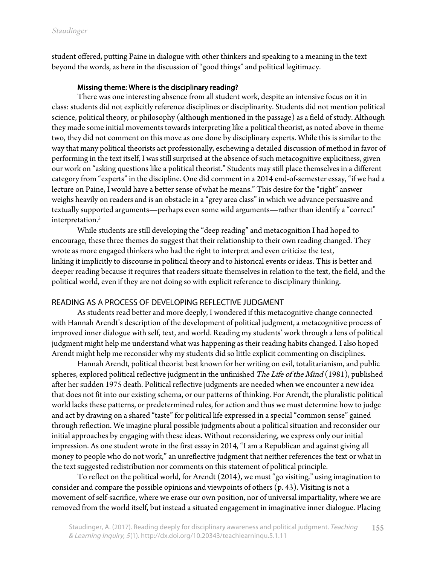student offered, putting Paine in dialogue with other thinkers and speaking to a meaning in the text beyond the words, as here in the discussion of "good things" and political legitimacy.

#### Missing theme: Where is the disciplinary reading?

There was one interesting absence from all student work, despite an intensive focus on it in class: students did not explicitly reference disciplines or disciplinarity. Students did not mention political science, political theory, or philosophy (although mentioned in the passage) as a field of study. Although they made some initial movements towards interpreting like a political theorist, as noted above in theme two, they did not comment on this move as one done by disciplinary experts. While this is similar to the way that many political theorists act professionally, eschewing a detailed discussion of method in favor of performing in the text itself, I was still surprised at the absence of such metacognitive explicitness, given our work on "asking questions like a political theorist." Students may still place themselves in a different category from "experts" in the discipline. One did comment in a 2014 end-of-semester essay, "if we had a lecture on Paine, I would have a better sense of what he means." This desire for the "right" answer weighs heavily on readers and is an obstacle in a "grey area class" in which we advance persuasive and textually supported arguments—perhaps even some wild arguments—rather than identify a "correct" interpretation.<sup>5</sup>

While students are still developing the "deep reading" and metacognition I had hoped to encourage, these three themes do suggest that their relationship to their own reading changed. They wrote as more engaged thinkers who had the right to interpret and even criticize the text, linking it implicitly to discourse in political theory and to historical events or ideas. This is better and deeper reading because it requires that readers situate themselves in relation to the text, the field, and the political world, even if they are not doing so with explicit reference to disciplinary thinking.

## READING AS A PROCESS OF DEVELOPING REFLECTIVE JUDGMENT

As students read better and more deeply, I wondered if this metacognitive change connected with Hannah Arendt's description of the development of political judgment, a metacognitive process of improved inner dialogue with self, text, and world. Reading my students' work through a lens of political judgment might help me understand what was happening as their reading habits changed. I also hoped Arendt might help me reconsider why my students did so little explicit commenting on disciplines.

Hannah Arendt, political theorist best known for her writing on evil, totalitarianism, and public spheres, explored political reflective judgment in the unfinished The Life of the Mind  $(1981)$ , published after her sudden 1975 death. Political reflective judgments are needed when we encounter a new idea that does not fit into our existing schema, or our patterns of thinking. For Arendt, the pluralistic political world lacks these patterns, or predetermined rules, for action and thus we must determine how to judge and act by drawing on a shared "taste" for political life expressed in a special "common sense" gained through reflection. We imagine plural possible judgments about a political situation and reconsider our initial approaches by engaging with these ideas. Without reconsidering, we express only our initial impression. As one student wrote in the first essay in 2014, "I am a Republican and against giving all money to people who do not work," an unreflective judgment that neither references the text or what in the text suggested redistribution nor comments on this statement of political principle.

To reflect on the political world, for Arendt (2014), we must "go visiting," using imagination to consider and compare the possible opinions and viewpoints of others (p. 43). Visiting is not a movement of self-sacrifice, where we erase our own position, nor of universal impartiality, where we are removed from the world itself, but instead a situated engagement in imaginative inner dialogue. Placing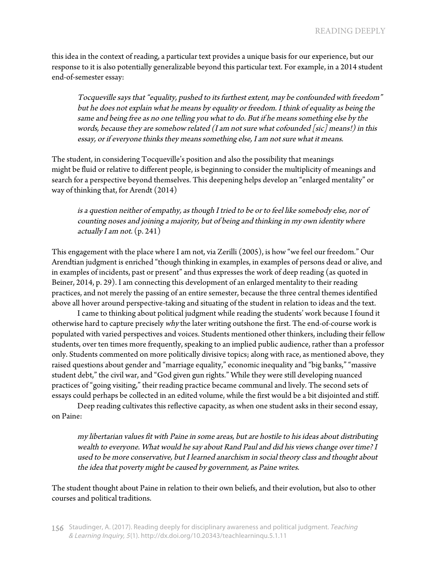this idea in the context of reading, a particular text provides a unique basis for our experience, but our response to it is also potentially generalizable beyond this particular text. For example, in a 2014 student end-of-semester essay:

Tocqueville says that "equality, pushed to its furthest extent, may be confounded with freedom" but he does not explain what he means by equality or freedom. I think of equality as being the same and being free as no one telling you what to do. But if he means something else by the words, because they are somehow related (I am not sure what cofounded [sic] means!) in this essay, or if everyone thinks they means something else, I am not sure what it means.

The student, in considering Tocqueville's position and also the possibility that meanings might be fluid or relative to different people, is beginning to consider the multiplicity of meanings and search for a perspective beyond themselves. This deepening helps develop an "enlarged mentality" or way of thinking that, for Arendt (2014)

is a question neither of empathy, as though I tried to be or to feel like somebody else, nor of counting noses and joining a majority, but of being and thinking in my own identity where actually I am not.  $(p. 241)$ 

This engagement with the place where I am not, via Zerilli (2005), is how "we feel our freedom." Our Arendtian judgment is enriched "though thinking in examples, in examples of persons dead or alive, and in examples of incidents, past or present" and thus expresses the work of deep reading (as quoted in Beiner, 2014, p. 29). I am connecting this development of an enlarged mentality to their reading practices, and not merely the passing of an entire semester, because the three central themes identified above all hover around perspective-taking and situating of the student in relation to ideas and the text.

I came to thinking about political judgment while reading the students' work because I found it otherwise hard to capture precisely why the later writing outshone the first. The end-of-course work is populated with varied perspectives and voices. Students mentioned other thinkers, including their fellow students, over ten times more frequently, speaking to an implied public audience, rather than a professor only. Students commented on more politically divisive topics; along with race, as mentioned above, they raised questions about gender and "marriage equality," economic inequality and "big banks," "massive student debt," the civil war, and "God given gun rights." While they were still developing nuanced practices of "going visiting," their reading practice became communal and lively. The second sets of essays could perhaps be collected in an edited volume, while the first would be a bit disjointed and stiff.

Deep reading cultivates this reflective capacity, as when one student asks in their second essay, on Paine:

my libertarian values fit with Paine in some areas, but are hostile to his ideas about distributing wealth to everyone. What would he say about Rand Paul and did his views change over time? I used to be more conservative, but I learned anarchism in social theory class and thought about the idea that poverty might be caused by government, as Paine writes.

The student thought about Paine in relation to their own beliefs, and their evolution, but also to other courses and political traditions.

<sup>156</sup> Staudinger, A. (2017). Reading deeply for disciplinary awareness and political judgment. Teaching & Learning Inquiry, <sup>5</sup>(1). http://dx.doi.org/10.20343/teachlearninqu.5.1.11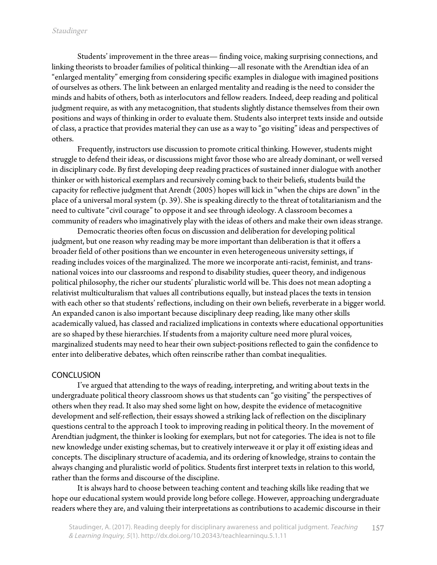Students' improvement in the three areas— finding voice, making surprising connections, and linking theorists to broader families of political thinking—all resonate with the Arendtian idea of an "enlarged mentality" emerging from considering specific examples in dialogue with imagined positions of ourselves as others. The link between an enlarged mentality and reading is the need to consider the minds and habits of others, both as interlocutors and fellow readers. Indeed, deep reading and political judgment require, as with any metacognition, that students slightly distance themselves from their own positions and ways of thinking in order to evaluate them. Students also interpret texts inside and outside of class, a practice that provides material they can use as a way to "go visiting" ideas and perspectives of others.

Frequently, instructors use discussion to promote critical thinking. However, students might struggle to defend their ideas, or discussions might favor those who are already dominant, or well versed in disciplinary code. By first developing deep reading practices of sustained inner dialogue with another thinker or with historical exemplars and recursively coming back to their beliefs, students build the capacity for reflective judgment that Arendt (2005) hopes will kick in "when the chips are down" in the place of a universal moral system (p. 39). She is speaking directly to the threat of totalitarianism and the need to cultivate "civil courage" to oppose it and see through ideology. A classroom becomes a community of readers who imaginatively play with the ideas of others and make their own ideas strange.

Democratic theories often focus on discussion and deliberation for developing political judgment, but one reason why reading may be more important than deliberation is that it offers a broader field of other positions than we encounter in even heterogeneous university settings, if reading includes voices of the marginalized. The more we incorporate anti-racist, feminist, and transnational voices into our classrooms and respond to disability studies, queer theory, and indigenous political philosophy, the richer our students' pluralistic world will be. This does not mean adopting a relativist multiculturalism that values all contributions equally, but instead places the texts in tension with each other so that students' reflections, including on their own beliefs, reverberate in a bigger world. An expanded canon is also important because disciplinary deep reading, like many other skills academically valued, has classed and racialized implications in contexts where educational opportunities are so shaped by these hierarchies. If students from a majority culture need more plural voices, marginalized students may need to hear their own subject-positions reflected to gain the confidence to enter into deliberative debates, which often reinscribe rather than combat inequalities.

#### **CONCLUSION**

I've argued that attending to the ways of reading, interpreting, and writing about texts in the undergraduate political theory classroom shows us that students can "go visiting" the perspectives of others when they read. It also may shed some light on how, despite the evidence of metacognitive development and self-reflection, their essays showed a striking lack of reflection on the disciplinary questions central to the approach I took to improving reading in political theory. In the movement of Arendtian judgment, the thinker is looking for exemplars, but not for categories. The idea is not to file new knowledge under existing schemas, but to creatively interweave it or play it off existing ideas and concepts. The disciplinary structure of academia, and its ordering of knowledge, strains to contain the always changing and pluralistic world of politics. Students first interpret texts in relation to this world, rather than the forms and discourse of the discipline.

It is always hard to choose between teaching content and teaching skills like reading that we hope our educational system would provide long before college. However, approaching undergraduate readers where they are, and valuing their interpretations as contributions to academic discourse in their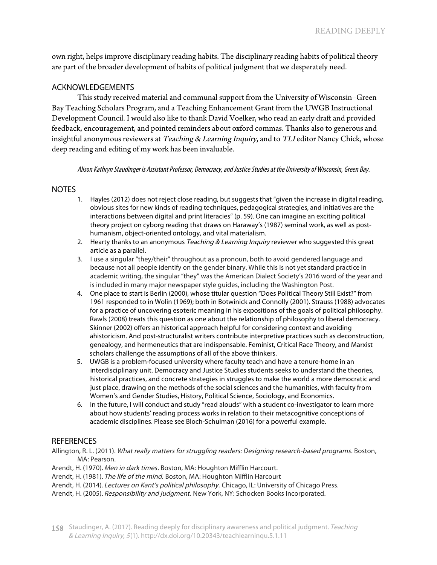own right, helps improve disciplinary reading habits. The disciplinary reading habits of political theory are part of the broader development of habits of political judgment that we desperately need.

# ACKNOWLEDGEMENTS

This study received material and communal support from the University of Wisconsin–Green Bay Teaching Scholars Program, and a Teaching Enhancement Grant from the UWGB Instructional Development Council. I would also like to thank David Voelker, who read an early draft and provided feedback, encouragement, and pointed reminders about oxford commas. Thanks also to generous and insightful anonymous reviewers at Teaching & Learning Inquiry, and to TLI editor Nancy Chick, whose deep reading and editing of my work has been invaluable.

Alison Kathryn Staudinger is Assistant Professor, Democracy, and Justice Studies at the University of Wisconsin, Green Bay.

## **NOTES**

- 1. Hayles (2012) does not reject close reading, but suggests that "given the increase in digital reading, obvious sites for new kinds of reading techniques, pedagogical strategies, and initiatives are the interactions between digital and print literacies" (p. 59). One can imagine an exciting political theory project on cyborg reading that draws on Haraway's (1987) seminal work, as well as posthumanism, object-oriented ontology, and vital materialism.
- 2. Hearty thanks to an anonymous Teaching & Learning Inquiry reviewer who suggested this great article as a parallel.
- 3. I use a singular "they/their" throughout as a pronoun, both to avoid gendered language and because not all people identify on the gender binary. While this is not yet standard practice in academic writing, the singular "they" was the American Dialect Society's 2016 word of the year and is included in many major newspaper style guides, including the Washington Post.
- 4. One place to start is Berlin (2000), whose titular question "Does Political Theory Still Exist?" from 1961 responded to in Wolin (1969); both in Botwinick and Connolly (2001). Strauss (1988) advocates for a practice of uncovering esoteric meaning in his expositions of the goals of political philosophy. Rawls (2008) treats this question as one about the relationship of philosophy to liberal democracy. Skinner (2002) offers an historical approach helpful for considering context and avoiding ahistoricism. And post-structuralist writers contribute interpretive practices such as deconstruction, genealogy, and hermeneutics that are indispensable. Feminist, Critical Race Theory, and Marxist scholars challenge the assumptions of all of the above thinkers.
- 5. UWGB is a problem-focused university where faculty teach and have a tenure-home in an interdisciplinary unit. Democracy and Justice Studies students seeks to understand the theories, historical practices, and concrete strategies in struggles to make the world a more democratic and just place, drawing on the methods of the social sciences and the humanities, with faculty from Women's and Gender Studies, History, Political Science, Sociology, and Economics.
- 6. In the future, I will conduct and study "read alouds" with a student co-investigator to learn more about how students' reading process works in relation to their metacognitive conceptions of academic disciplines. Please see Bloch-Schulman (2016) for a powerful example.

# **REFERENCES**

Allington, R. L. (2011). What really matters for struggling readers: Designing research-based programs. Boston, MA: Pearson.

Arendt, H. (1970). Men in dark times. Boston, MA: Houghton Mifflin Harcourt.

Arendt, H. (1981). The life of the mind. Boston, MA: Houghton Mifflin Harcourt

Arendt, H. (2014). Lectures on Kant's political philosophy. Chicago, IL: University of Chicago Press.

Arendt, H. (2005). Responsibility and judgment. New York, NY: Schocken Books Incorporated.

158 Staudinger, A. (2017). Reading deeply for disciplinary awareness and political judgment. Teaching & Learning Inquiry, <sup>5</sup>(1). http://dx.doi.org/10.20343/teachlearninqu.5.1.11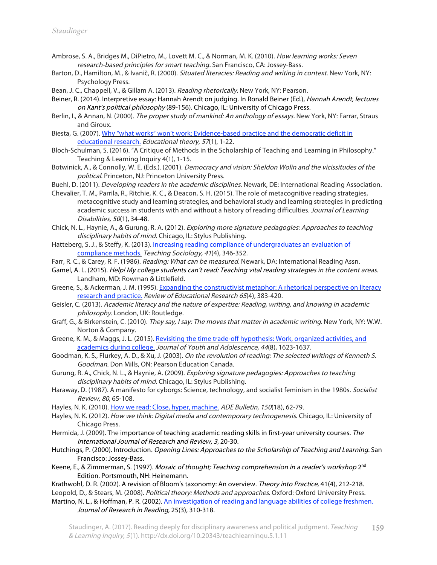- Ambrose, S. A., Bridges M., DiPietro, M., Lovett M. C., & Norman, M. K. (2010). How learning works: Seven research-based principles for smart teaching. San Francisco, CA: Jossey-Bass.
- Barton, D., Hamilton, M., & Ivanič, R. (2000). Situated literacies: Reading and writing in context. New York, NY: Psychology Press.
- Bean, J. C., Chappell, V., & Gillam A. (2013). Reading rhetorically. New York, NY: Pearson.
- Beiner, R. (2014). Interpretive essay: Hannah Arendt on judging. In Ronald Beiner (Ed.), Hannah Arendt, lectures on Kant's political philosophy (89-156). Chicago, IL: University of Chicago Press.
- Berlin, I., & Annan, N. (2000). The proper study of mankind: An anthology of essays. New York, NY: Farrar, Straus and Giroux.
- Biesta, G. (2007). Why "what [works" won't work:](http://dx.doi.org/10.1111/j.1741-5446.2006.00241.x) Evidence-based practice and the democratic deficit in educational research. Educational theory, <sup>57</sup>(1), 1-22.
- Bloch-Schulman, S. (2016). "A Critique of Methods in the Scholarship of Teaching and Learning in Philosophy." Teaching & Learning Inquiry 4(1), 1-15.
- Botwinick, A., & Connolly, W. E. (Eds.). (2001). Democracy and vision: Sheldon Wolin and the vicissitudes of the political. Princeton, NJ: Princeton University Press.
- Buehl, D. (2011). *Developing readers in the academic disciplines*. Newark, DE: International Reading Association. Chevalier, T. M., Parrila, R., Ritchie, K. C., & Deacon, S. H. (2015). The role of metacognitive reading strategies,
- metacognitive study and learning strategies, and behavioral study and learning strategies in predicting academic success in students with and without a history of reading difficulties. Journal of Learning Disabilities, <sup>50</sup>(1), 34-48.
- Chick, N. L., Haynie, A., & Gurung, R. A. (2012). Exploring more signature pedagogies: Approaches to teaching disciplinary habits of mind. Chicago, IL: Stylus Publishing.
- Hatteberg, S. J., & Steffy, K. (2013). Increasing reading compliance [of undergraduates](http://journals.sagepub.com/doi/full/10.1177/0092055X13490752) an evaluation of compliance methods. Teaching Sociology, 41(4), 346-352.
- Farr, R. C., & Carey, R. F. (1986). Reading: What can be measured. Newark, DA: International Reading Assn.
- Gamel, A. L. (2015). Help! My college students can't read: Teaching vital reading strategies in the content areas. Landham, MD: Rowman & Littlefield.
- Greene, S., & Ackerman, J. M. (1995). Expanding the constructivist [metaphor: A rhetorical](http://www.jstor.org/stable/1170702) perspective on literacy research and practice. Review of Educational Research <sup>65</sup>(4), 383-420.
- Geisler, C. (2013). Academic literacy and the nature of expertise: Reading, writing, and knowing in academic philosophy. London, UK: Routledge.
- Graff, G., & Birkenstein, C. (2010). They say, I say: The moves that matter in academic writing. New York, NY: W.W. Norton & Company.
- Greene, K. M., & Maggs, J. L. (2015). Revisiting the time trade-off hypothesis: Work, organized activities, and academics during college. Journal of Youth [and Adolescence,](http://dx.doi.org/10.1007/s10964-014-0215-7) <sup>44</sup>(8), 1623-1637.
- Goodman, K. S., Flurkey, A. D., & Xu, J. (2003). On the revolution of reading: The selected writings of Kenneth S. Goodman. Don Mills, ON: Pearson Education Canada.
- Gurung, R. A., Chick, N. L., & Haynie, A. (2009). Exploring signature pedagogies: Approaches to teaching disciplinary habits of mind. Chicago, IL: Stylus Publishing.
- Haraway, D. (1987). A manifesto for cyborgs: Science, technology, and socialist feminism in the 1980s. Socialist Review, 80, 65-108.
- Hayles, N. K. (2010). How we read: Close, hyper, [machine.](https://ade.mla.org/content/download/7915/225678/ade.150.62.pdf) ADE Bulletin, <sup>150</sup>(18), 62-79.
- Hayles, N. K. (2012). How we think: Digital media and contemporary technogenesis. Chicago, IL: University of Chicago Press.
- Hermida, J. (2009). The importance of teaching academic reading skills in first-year university courses. The International Journal of Research and Review, 3, 20-30.
- Hutchings, P. (2000). Introduction. Opening Lines: Approaches to the Scholarship of Teaching and Learning. San Francisco: Jossey-Bass.
- Keene, E., & Zimmerman, S. (1997). Mosaic of thought; Teaching comprehension in a reader's workshop 2<sup>nd</sup> Edition. Portsmouth, NH: Heinemann.
- Krathwohl, D. R. (2002). A revision of Bloom's taxonomy: An overview. Theory into Practice, 41(4), 212-218. Leopold, D., & Stears, M. (2008). Political theory: Methods and approaches. Oxford: Oxford University Press.
- Martino, N. L., & Hoffman, P. R. (2002). An [investigation](http://onlinelibrary.wiley.com/doi/10.1111/1467-9817.00178/epdf) of reading and language abilities of college freshmen.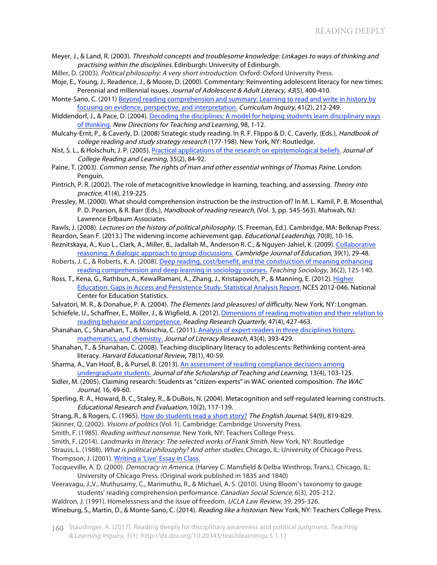- Meyer, J., & Land, R. (2003). Threshold concepts and troublesome knowledge: Linkages to ways of thinking and practising within the disciplines. Edinburgh: University of Edinburgh.
- Miller, D. (2003). Political philosophy: A very short introduction. Oxford: Oxford University Press.
- Moje, E., Young, J., Readence, J., & Moore, D. (2000). Commentary: Reinventing adolescent literacy for new times: Perennial and millennial issues. Journal of Adolescent & Adult Literacy, 43(5), 400-410.
- Monte-Sano, C. (2011) Beyond reading comprehension and summary: Learning to read and write in history by focusing on [evidence, perspective,](Beyond reading comprehension and summary: Learning to read and write in history by) and interpretation. Curriculum Inquiry, 41(2), 212-249.
- Middendorf, J., & Pace, D. (2004). Decoding the [disciplines: A model](http://dx.doi.org/10.1002/tl.142) for helping students learn disciplinary ways of thinking. New Directions for Teaching and Learning, 98, 1-12.
- Mulcahy-Ernt, P., & Caverly, D. (2008) Strategic study reading. In R. F. Flippo & D. C. Caverly, (Eds.), Handbook of college reading and study strategy research (177-198). New York, NY: Routledge.
- Nist, S. L., & Holschuh, J. P. (2005). Practical applications of the research [on epistemological beliefs.](http://dx.doi.org/10.1080/10790195.2005.10850175) Journal of College Reading and Learning, 35(2), 84-92.
- Paine, T. (2003). Common sense, The rights of man and other essential writings of Thomas Paine. London: Penguin.
- Pintrich, P. R. (2002). The role of metacognitive knowledge in learning, teaching, and assessing. Theory into practice, 41(4), 219-225.
- Pressley, M. (2000). What should comprehension instruction be the instruction of? In M. L. Kamil, P. B. Mosenthal, P. D. Pearson, & R. Barr (Eds.), Handbook of reading research, (Vol. 3, pp. 545-563). Mahwah, NJ: Lawrence Erlbaum Associates.
- Rawls, J. (2008). Lectures on the history of political philosophy. (S. Freeman, Ed.). Cambridge, MA: Belknap Press.
- Reardon, Sean F. (2013.) The widening income achievement gap. *Educational Leadership*, 70(8), 10-16. Reznitskaya, A., Kuo L., Clark, A., Miller, B., Jadallah M., Anderson R. C., & Nguyen-Jahiel, K. (2009). Collaborative
- [reasoning: A dialogic](http://dx.doi.org/10.1080/03057640802701952) approach to group discussions. Cambridge Journal of Education, 39(1), 29-48.
- Roberts, J. C., & Roberts, K. A. (2008). Deep reading, cost/benefit, and the construction of meaning enhancing reading comprehension and deep learning in [sociology courses.](http://dx.doi.org/10.1177/0092055X0803600203) Teaching Sociology, 36(2), 125-140.
- Ross, T., Kena, G., Rathbun, A., KewalRamani, A., Zhang, J., Kristapovich, [P., & Manning,](https://nces.ed.gov/pubs2012/2012046.pdf) E. (2012). Higher Education: Gaps in Access and Persistence Study. Statistical Analysis Report. NCES 2012-046. National Center for Education Statistics.
- Salvatori, M. R., & Donahue, P. A. (2004). The Elements (and pleasures) of difficulty. New York, NY: Longman.
- Schiefele, U., Schaffner, E., Möller, [J., & Wigfield,](http://onlinelibrary.wiley.com/store/10.1002/RRQ.030/asset/rrq30.pdf?v=1&t=iyc6q9bn&s=08bb861a0b98016c7d3ea1fe73ed055c97ae0352) A. (2012). Dimensions of reading motivation and their relation to reading behavior and competence. Reading Research Quarterly, 47(4), 427-463.
- Shanahan, C., Shanahan, T., & Misischia, C. (2011). Analysis of expert readers [in three disciplines history,](http://dx.doi.org/10.1177/1086296X11424071) mathematics, and chemistry. Journal of Literacy Research, 43(4), 393-429.
- Shanahan, T., & Shanahan, C. (2008). Teaching disciplinary literacy to adolescents: Rethinking content-area literacy. Harvard Educational Review, 78(1), 40-59.
- Sharma, A., Van Hoof, B., & Pursel, B. (2013). An assessment [of reading compliance decisions](http://files.eric.ed.gov/fulltext/EJ1017123.pdf) among undergraduate students. Journal of the Scholarship of Teaching and Learning, 13(4), 103-125.
- Sidler, M. (2005). Claiming research: Students as "citizen-experts" in WAC-oriented composition. The WAC Journal, 16, 49-60.
- Sperling, R. A., Howard, B. C., Staley, R., & DuBois, N. (2004). Metacognition and self-regulated learning constructs. Educational Research and Evaluation, 10(2), 117-139.
- Strang, R., & Rogers, C. (1965). How do students [read a short](http://www.jstor.org/stable/810151) story? The English Journal, 54(9), 819-829.
- Skinner, Q. (2002). Visions of politics (Vol. 1). Cambridge: Cambridge University Press.
- Smith, F. (1985). Reading without nonsense. New York, NY: Teachers College Press.
- Smith, F. (2014). Landmarks in literacy: The selected works of Frank Smith. New York, NY: Routledge

Strauss, L. (1988). What is political philosophy? And other studies. Chicago, IL: University of Chicago Press. Thompson, J. (2001). [Writing a 'Live' Essay](https://www.usask.ca/ulc/images/writing/Writing_a_ live_essay_in_class.pdf) in Class.

- Tocqueville, A. D. (2000). Democracy in America. (Harvey C. Mansfield & Delba Winthrop, Trans.). Chicago, IL: University of Chicago Press. (Original work published in 1835 and 1840)
- Veeravagu, J.,V., Muthusamy, C., Marimuthu, R., & Michael, A. S. (2010). Using Bloom's taxonomy to gauge students' reading comprehension performance. Canadian Social Science, 6(3), 205-212.
- Waldron, J. (1991). Homelessness and the issue of freedom. UCLA Law Review, 39, 295-326. Wineburg, S., Martin, D., & Monte-Sano, C. (2014). Reading like a historian. New York, NY: Teachers College Press.
- 160 Staudinger, A. (2017). Reading deeply for disciplinary awareness and political judgment. Teaching & Learning Inquiry, <sup>5</sup>(1). http://dx.doi.org/10.20343/teachlearninqu.5.1.11